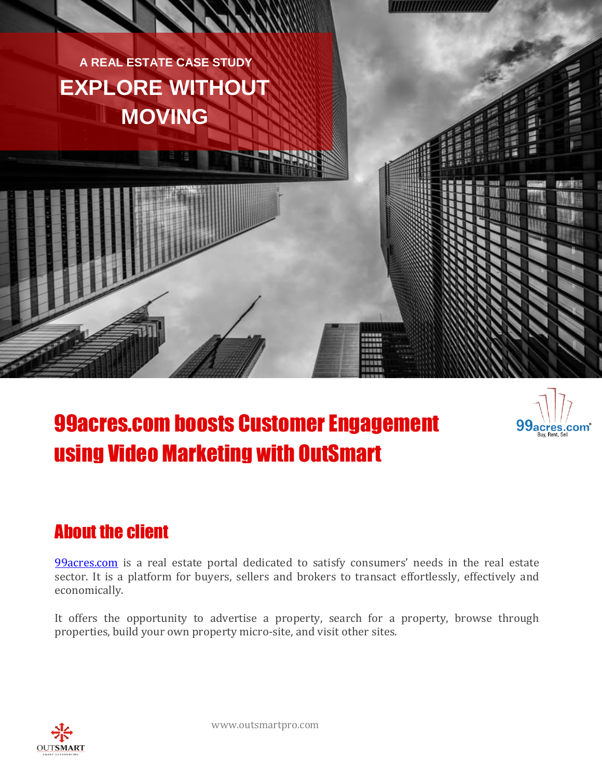



,,,,,,,,,,,,,,,,,

# 99acres.com boosts Customer Engagement using Video Marketing with OutSmart

#### About the client

[99acres.com](http://www.99acres.com/) is a real estate portal dedicated to satisfy consumers' needs in the real estate sector. It is a platform for buyers, sellers and brokers to transact effortlessly, effectively and economically.

It offers the opportunity to advertise a property, search for a property, browse through properties, build your own property micro-site, and visit other sites.

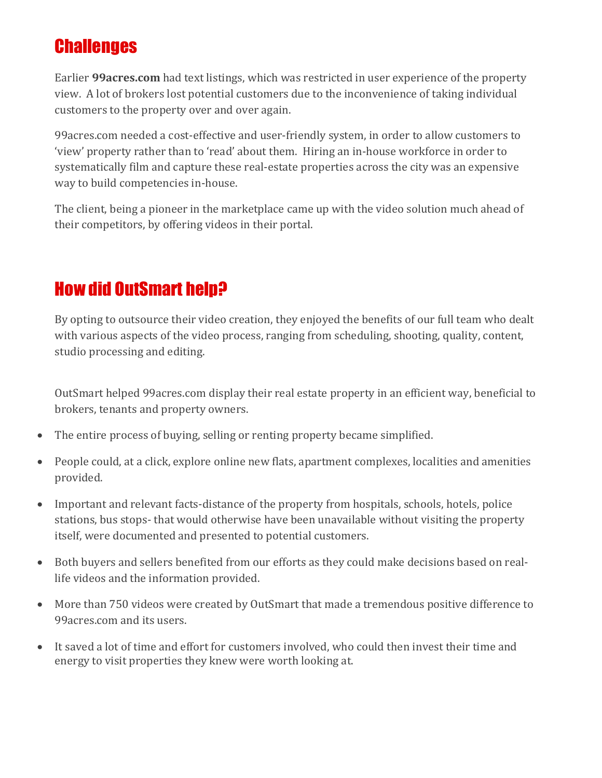#### **Challenges**

Earlier **99acres.com** had text listings, which was restricted in user experience of the property view. A lot of brokers lost potential customers due to the inconvenience of taking individual customers to the property over and over again.

99acres.com needed a cost-effective and user-friendly system, in order to allow customers to 'view' property rather than to 'read' about them. Hiring an in-house workforce in order to systematically film and capture these real-estate properties across the city was an expensive way to build competencies in-house.

The client, being a pioneer in the marketplace came up with the video solution much ahead of their competitors, by offering videos in their portal.

## How did OutSmart help?

By opting to outsource their video creation, they enjoyed the benefits of our full team who dealt with various aspects of the video process, ranging from scheduling, shooting, quality, content, studio processing and editing.

OutSmart helped 99acres.com display their real estate property in an efficient way, beneficial to brokers, tenants and property owners.

- The entire process of buying, selling or renting property became simplified.
- People could, at a click, explore online new flats, apartment complexes, localities and amenities provided.
- Important and relevant facts-distance of the property from hospitals, schools, hotels, police stations, bus stops- that would otherwise have been unavailable without visiting the property itself, were documented and presented to potential customers.
- Both buyers and sellers benefited from our efforts as they could make decisions based on reallife videos and the information provided.
- More than 750 videos were created by OutSmart that made a tremendous positive difference to 99acres.com and its users.
- It saved a lot of time and effort for customers involved, who could then invest their time and energy to visit properties they knew were worth looking at.